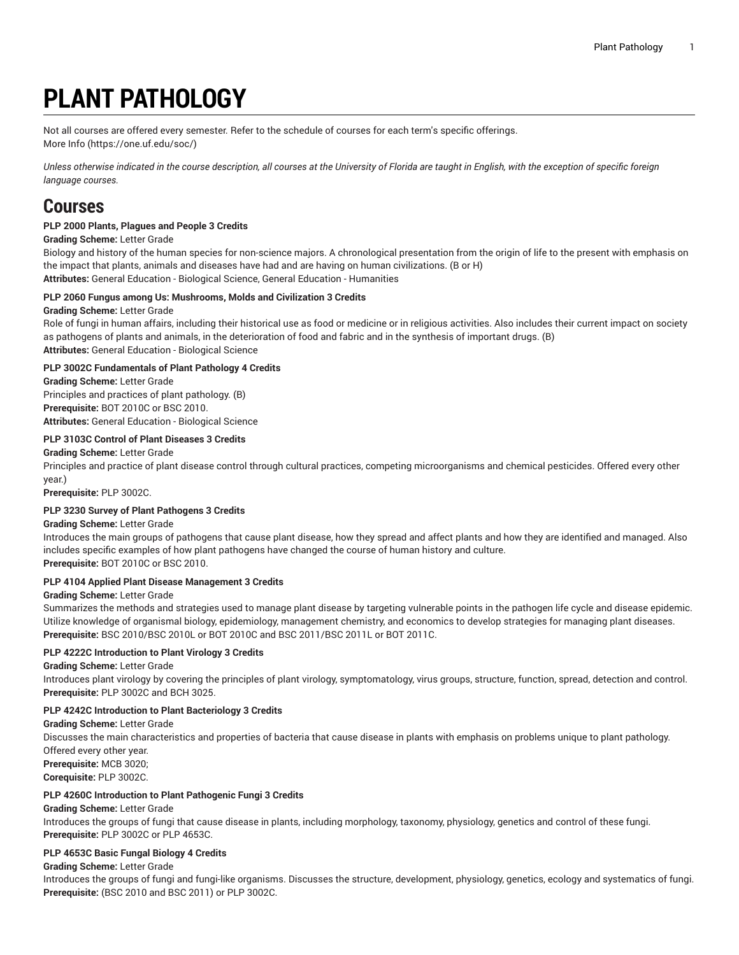# **PLANT PATHOLOGY**

Not all courses are offered every semester. Refer to the schedule of courses for each term's specific offerings.

[More](https://one.uf.edu/soc/) Info [\(https://one.uf.edu/soc/](https://one.uf.edu/soc/))

Unless otherwise indicated in the course description, all courses at the University of Florida are taught in English, with the exception of specific foreign *language courses.*

# **Courses**

# **PLP 2000 Plants, Plagues and People 3 Credits**

**Grading Scheme:** Letter Grade

Biology and history of the human species for non-science majors. A chronological presentation from the origin of life to the present with emphasis on the impact that plants, animals and diseases have had and are having on human civilizations. (B or H) **Attributes:** General Education - Biological Science, General Education - Humanities

# **PLP 2060 Fungus among Us: Mushrooms, Molds and Civilization 3 Credits**

# **Grading Scheme:** Letter Grade

Role of fungi in human affairs, including their historical use as food or medicine or in religious activities. Also includes their current impact on society as pathogens of plants and animals, in the deterioration of food and fabric and in the synthesis of important drugs. (B) **Attributes:** General Education - Biological Science

**PLP 3002C Fundamentals of Plant Pathology 4 Credits Grading Scheme:** Letter Grade Principles and practices of plant pathology. (B) **Prerequisite:** BOT 2010C or BSC 2010. **Attributes:** General Education - Biological Science

# **PLP 3103C Control of Plant Diseases 3 Credits**

**Grading Scheme:** Letter Grade

Principles and practice of plant disease control through cultural practices, competing microorganisms and chemical pesticides. Offered every other year.)

**Prerequisite:** PLP 3002C.

# **PLP 3230 Survey of Plant Pathogens 3 Credits**

# **Grading Scheme:** Letter Grade

Introduces the main groups of pathogens that cause plant disease, how they spread and affect plants and how they are identified and managed. Also includes specific examples of how plant pathogens have changed the course of human history and culture. **Prerequisite:** BOT 2010C or BSC 2010.

# **PLP 4104 Applied Plant Disease Management 3 Credits**

# **Grading Scheme:** Letter Grade

Summarizes the methods and strategies used to manage plant disease by targeting vulnerable points in the pathogen life cycle and disease epidemic. Utilize knowledge of organismal biology, epidemiology, management chemistry, and economics to develop strategies for managing plant diseases. **Prerequisite:** BSC 2010/BSC 2010L or BOT 2010C and BSC 2011/BSC 2011L or BOT 2011C.

# **PLP 4222C Introduction to Plant Virology 3 Credits**

**Grading Scheme:** Letter Grade

Introduces plant virology by covering the principles of plant virology, symptomatology, virus groups, structure, function, spread, detection and control. **Prerequisite:** PLP 3002C and BCH 3025.

# **PLP 4242C Introduction to Plant Bacteriology 3 Credits**

**Grading Scheme:** Letter Grade

Discusses the main characteristics and properties of bacteria that cause disease in plants with emphasis on problems unique to plant pathology. Offered every other year.

**Prerequisite:** MCB 3020; **Corequisite:** PLP 3002C.

# **PLP 4260C Introduction to Plant Pathogenic Fungi 3 Credits**

# **Grading Scheme:** Letter Grade

Introduces the groups of fungi that cause disease in plants, including morphology, taxonomy, physiology, genetics and control of these fungi. **Prerequisite:** PLP 3002C or PLP 4653C.

# **PLP 4653C Basic Fungal Biology 4 Credits**

**Grading Scheme:** Letter Grade

Introduces the groups of fungi and fungi-like organisms. Discusses the structure, development, physiology, genetics, ecology and systematics of fungi. **Prerequisite:** (BSC 2010 and BSC 2011) or PLP 3002C.